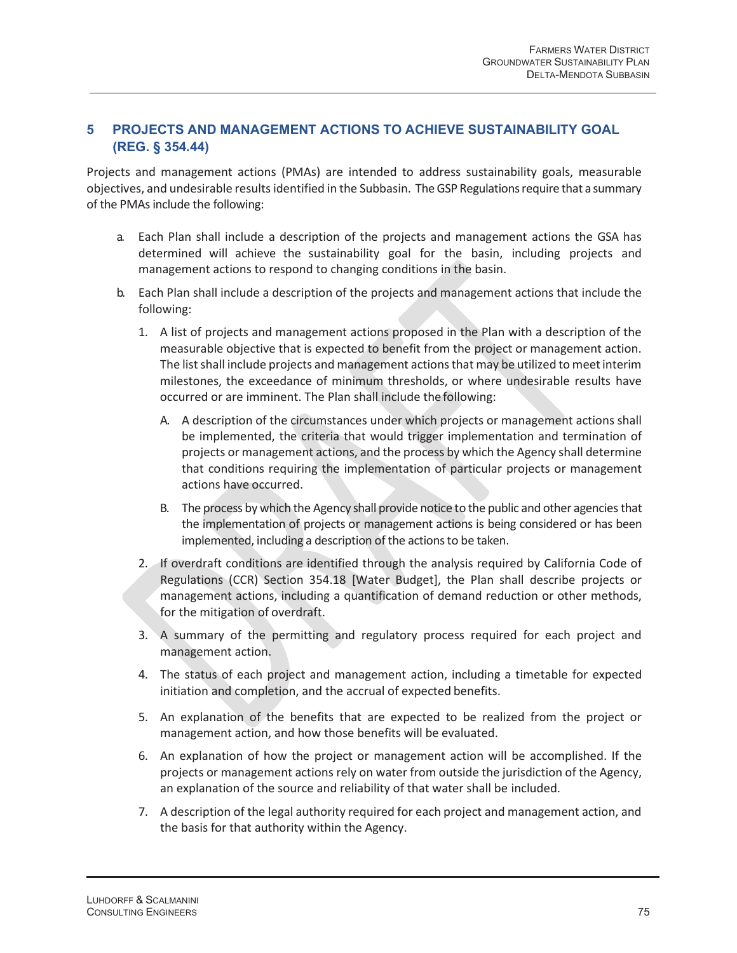## **5 PROJECTS AND MANAGEMENT ACTIONS TO ACHIEVE SUSTAINABILITY GOAL (REG. § 354.44)**

Projects and management actions (PMAs) are intended to address sustainability goals, measurable objectives, and undesirable results identified in the Subbasin. The GSP Regulations require that a summary of the PMAs include the following:

- a. Each Plan shall include a description of the projects and management actions the GSA has determined will achieve the sustainability goal for the basin, including projects and management actions to respond to changing conditions in the basin.
- b. Each Plan shall include a description of the projects and management actions that include the following:
	- 1. A list of projects and management actions proposed in the Plan with a description of the measurable objective that is expected to benefit from the project or management action. The list shall include projects and management actions that may be utilized to meet interim milestones, the exceedance of minimum thresholds, or where undesirable results have occurred or are imminent. The Plan shall include the following:
		- A. A description of the circumstances under which projects or management actions shall be implemented, the criteria that would trigger implementation and termination of projects or management actions, and the process by which the Agency shall determine that conditions requiring the implementation of particular projects or management actions have occurred.
		- B. The process by which the Agency shall provide notice to the public and other agencies that the implementation of projects or management actions is being considered or has been implemented, including a description of the actions to be taken.
	- 2. If overdraft conditions are identified through the analysis required by California Code of Regulations (CCR) Section 354.18 [Water Budget], the Plan shall describe projects or management actions, including a quantification of demand reduction or other methods, for the mitigation of overdraft.
	- 3. A summary of the permitting and regulatory process required for each project and management action.
	- 4. The status of each project and management action, including a timetable for expected initiation and completion, and the accrual of expected benefits.
	- 5. An explanation of the benefits that are expected to be realized from the project or management action, and how those benefits will be evaluated.
	- 6. An explanation of how the project or management action will be accomplished. If the projects or management actions rely on water from outside the jurisdiction of the Agency, an explanation of the source and reliability of that water shall be included.
	- 7. A description of the legal authority required for each project and management action, and the basis for that authority within the Agency.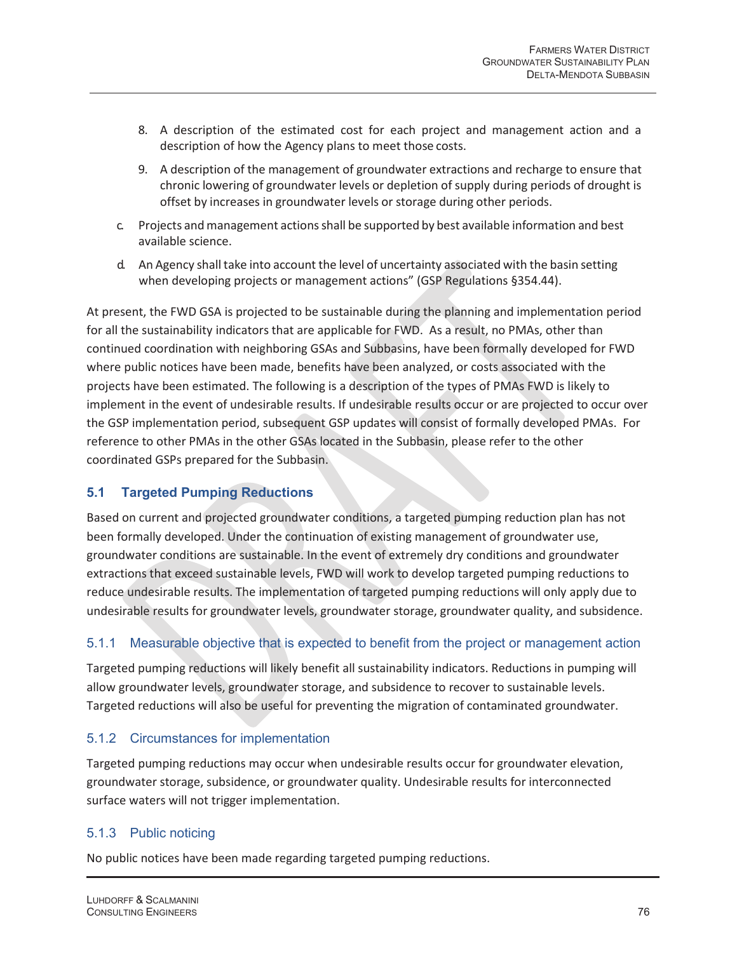- 8. A description of the estimated cost for each project and management action and a description of how the Agency plans to meet those costs.
- 9. A description of the management of groundwater extractions and recharge to ensure that chronic lowering of groundwater levels or depletion of supply during periods of drought is offset by increases in groundwater levels or storage during other periods.
- c. Projects and management actions shall be supported by best available information and best available science.
- d. An Agency shall take into account the level of uncertainty associated with the basin setting when developing projects or management actions" (GSP Regulations §354.44).

At present, the FWD GSA is projected to be sustainable during the planning and implementation period for all the sustainability indicators that are applicable for FWD. As a result, no PMAs, other than continued coordination with neighboring GSAs and Subbasins, have been formally developed for FWD where public notices have been made, benefits have been analyzed, or costs associated with the projects have been estimated. The following is a description of the types of PMAs FWD is likely to implement in the event of undesirable results. If undesirable results occur or are projected to occur over the GSP implementation period, subsequent GSP updates will consist of formally developed PMAs. For reference to other PMAs in the other GSAs located in the Subbasin, please refer to the other coordinated GSPs prepared for the Subbasin.

# **5.1 Targeted Pumping Reductions**

Based on current and projected groundwater conditions, a targeted pumping reduction plan has not been formally developed. Under the continuation of existing management of groundwater use, groundwater conditions are sustainable. In the event of extremely dry conditions and groundwater extractions that exceed sustainable levels, FWD will work to develop targeted pumping reductions to reduce undesirable results. The implementation of targeted pumping reductions will only apply due to undesirable results for groundwater levels, groundwater storage, groundwater quality, and subsidence.

#### 5.1.1 Measurable objective that is expected to benefit from the project or management action

Targeted pumping reductions will likely benefit all sustainability indicators. Reductions in pumping will allow groundwater levels, groundwater storage, and subsidence to recover to sustainable levels. Targeted reductions will also be useful for preventing the migration of contaminated groundwater.

#### 5.1.2 Circumstances for implementation

Targeted pumping reductions may occur when undesirable results occur for groundwater elevation, groundwater storage, subsidence, or groundwater quality. Undesirable results for interconnected surface waters will not trigger implementation.

# 5.1.3 Public noticing

No public notices have been made regarding targeted pumping reductions.